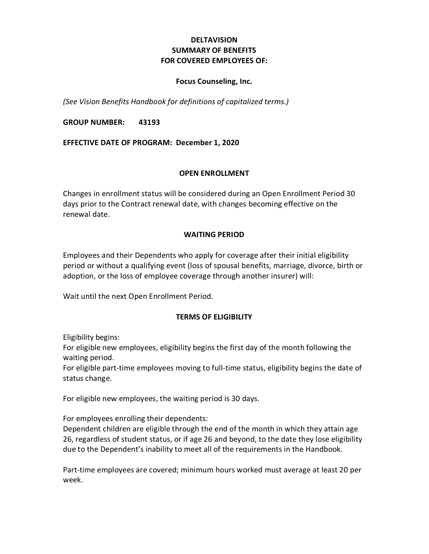## **DELTAVISION SUMMARY OF BENEFITS FOR COVERED EMPLOYEES OF:**

### **Focus Counseling, Inc.**

*(See Vision Benefits Handbook for definitions of capitalized terms.)*

**GROUP NUMBER: 43193**

**EFFECTIVE DATE OF PROGRAM: December 1, 2020**

#### **OPEN ENROLLMENT**

Changes in enrollment status will be considered during an Open Enrollment Period 30 days prior to the Contract renewal date, with changes becoming effective on the renewal date.

### **WAITING PERIOD**

Employees and their Dependents who apply for coverage after their initial eligibility period or without a qualifying event (loss of spousal benefits, marriage, divorce, birth or adoption, or the loss of employee coverage through another insurer) will:

Wait until the next Open Enrollment Period.

### **TERMS OF ELIGIBILITY**

Eligibility begins:

For eligible new employees, eligibility begins the first day of the month following the waiting period.

For eligible part-time employees moving to full-time status, eligibility begins the date of status change.

For eligible new employees, the waiting period is 30 days.

For employees enrolling their dependents: Dependent children are eligible through the end of the month in which they attain age 26, regardless of student status, or if age 26 and beyond, to the date they lose eligibility due to the Dependent's inability to meet all of the requirements in the Handbook.

Part-time employees are covered; minimum hours worked must average at least 20 per week.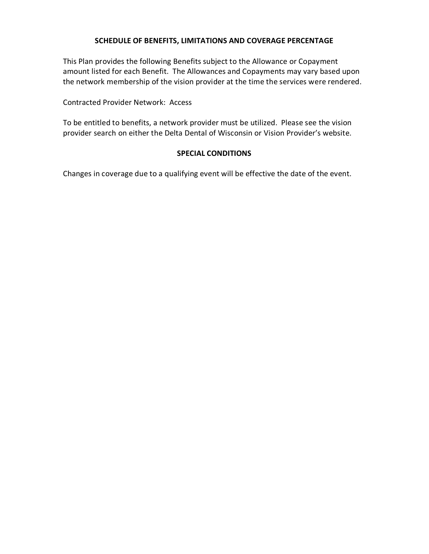### **SCHEDULE OF BENEFITS, LIMITATIONS AND COVERAGE PERCENTAGE**

This Plan provides the following Benefits subject to the Allowance or Copayment amount listed for each Benefit. The Allowances and Copayments may vary based upon the network membership of the vision provider at the time the services were rendered.

Contracted Provider Network: Access

To be entitled to benefits, a network provider must be utilized. Please see the vision provider search on either the Delta Dental of Wisconsin or Vision Provider's website.

### **SPECIAL CONDITIONS**

Changes in coverage due to a qualifying event will be effective the date of the event.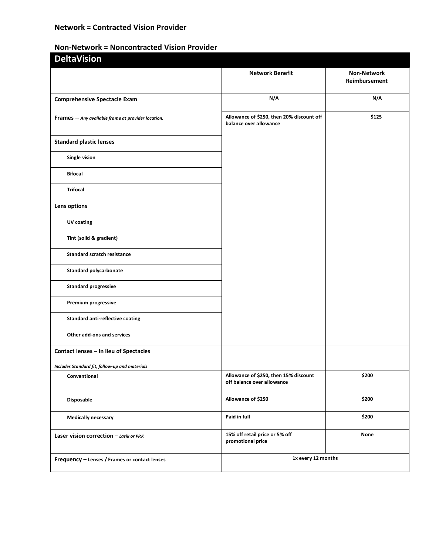## **Network = Contracted Vision Provider**

# **Non-Network = Noncontracted Vision Provider**

| <b>DeltaVision</b>                                  |                                                                     |                                     |
|-----------------------------------------------------|---------------------------------------------------------------------|-------------------------------------|
|                                                     | <b>Network Benefit</b>                                              | <b>Non-Network</b><br>Reimbursement |
| <b>Comprehensive Spectacle Exam</b>                 | N/A                                                                 | N/A                                 |
| Frames -- Any available frame at provider location. | Allowance of \$250, then 20% discount off<br>balance over allowance | \$125                               |
| <b>Standard plastic lenses</b>                      |                                                                     |                                     |
| Single vision                                       |                                                                     |                                     |
| <b>Bifocal</b>                                      |                                                                     |                                     |
| <b>Trifocal</b>                                     |                                                                     |                                     |
| Lens options                                        |                                                                     |                                     |
| UV coating                                          |                                                                     |                                     |
| Tint (solid & gradient)                             |                                                                     |                                     |
| <b>Standard scratch resistance</b>                  |                                                                     |                                     |
| <b>Standard polycarbonate</b>                       |                                                                     |                                     |
| <b>Standard progressive</b>                         |                                                                     |                                     |
| Premium progressive                                 |                                                                     |                                     |
| <b>Standard anti-reflective coating</b>             |                                                                     |                                     |
| Other add-ons and services                          |                                                                     |                                     |
| Contact lenses - In lieu of Spectacles              |                                                                     |                                     |
| Includes Standard fit, follow-up and materials      |                                                                     |                                     |
| Conventional                                        | Allowance of \$250, then 15% discount<br>off balance over allowance | \$200                               |
| Disposable                                          | Allowance of \$250                                                  | \$200                               |
| <b>Medically necessary</b>                          | Paid in full                                                        | \$200                               |
| Laser vision correction $-$ Lasik or PRK            | 15% off retail price or 5% off<br>promotional price                 | None                                |
| Frequency - Lenses / Frames or contact lenses       | 1x every 12 months                                                  |                                     |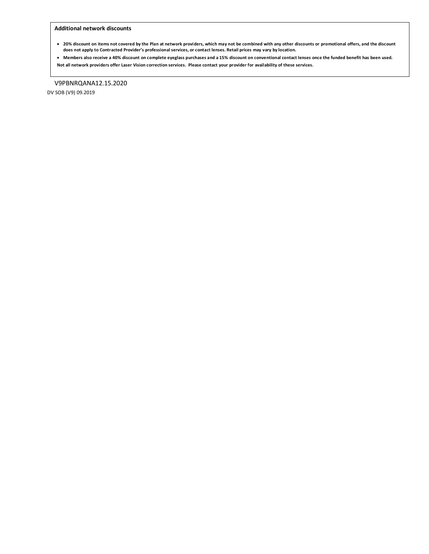#### **Additional network discounts**

- **20% discount on items not covered by the Plan at network providers, which may not be combined with any other discounts or promotional offers, and the discount does not apply to Contracted Provider's professional services, or contact lenses. Retail prices may vary by location.**
- **Members also receive a 40% discount on complete eyeglass purchases and a 15% discount on conventional contact lenses once the funded benefit has been used. Not all network providers offer Laser Vision correction services. Please contact your provider for availability of these services.**

V9PBNRQANA12.15.2020 DV SOB (V9) 09.2019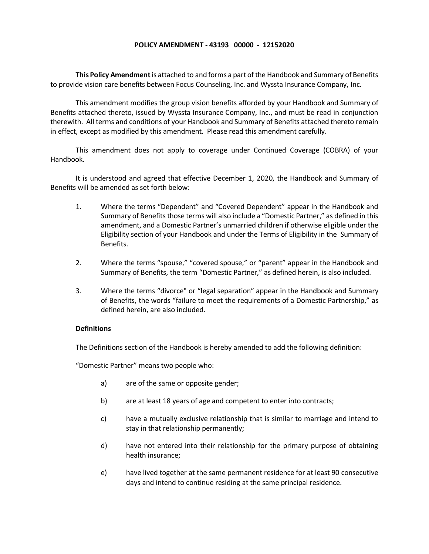#### **POLICY AMENDMENT - 43193 00000 - 12152020**

**This Policy Amendment**is attached to and forms a part of the Handbook and Summary of Benefits to provide vision care benefits between Focus Counseling, Inc. and Wyssta Insurance Company, Inc.

This amendment modifies the group vision benefits afforded by your Handbook and Summary of Benefits attached thereto, issued by Wyssta Insurance Company, Inc., and must be read in conjunction therewith. All terms and conditions of your Handbook and Summary of Benefits attached thereto remain in effect, except as modified by this amendment. Please read this amendment carefully.

This amendment does not apply to coverage under Continued Coverage (COBRA) of your Handbook.

It is understood and agreed that effective December 1, 2020, the Handbook and Summary of Benefits will be amended as set forth below:

- 1. Where the terms "Dependent" and "Covered Dependent" appear in the Handbook and Summary of Benefits those terms will also include a "Domestic Partner," as defined in this amendment, and a Domestic Partner's unmarried children if otherwise eligible under the Eligibility section of your Handbook and under the Terms of Eligibility in the Summary of Benefits.
- 2. Where the terms "spouse," "covered spouse," or "parent" appear in the Handbook and Summary of Benefits, the term "Domestic Partner," as defined herein, is also included.
- 3. Where the terms "divorce" or "legal separation" appear in the Handbook and Summary of Benefits, the words "failure to meet the requirements of a Domestic Partnership," as defined herein, are also included.

#### **Definitions**

The Definitions section of the Handbook is hereby amended to add the following definition:

"Domestic Partner" means two people who:

- a) are of the same or opposite gender;
- b) are at least 18 years of age and competent to enter into contracts;
- c) have a mutually exclusive relationship that is similar to marriage and intend to stay in that relationship permanently;
- d) have not entered into their relationship for the primary purpose of obtaining health insurance;
- e) have lived together at the same permanent residence for at least 90 consecutive days and intend to continue residing at the same principal residence.